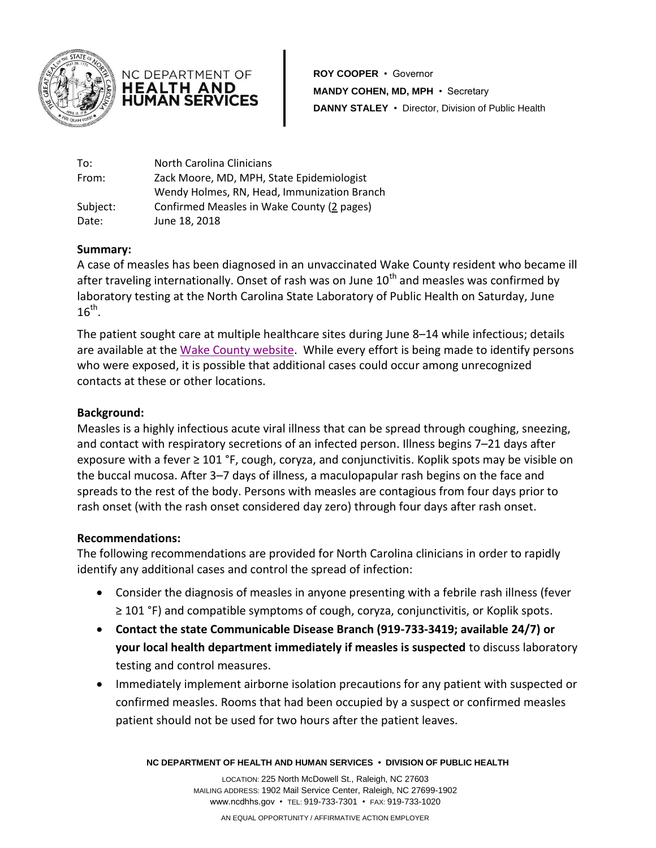



**ROY COOPER** • Governor **MANDY COHEN, MD, MPH** • Secretary **DANNY STALEY** • Director, Division of Public Health

| To:      | North Carolina Clinicians                   |
|----------|---------------------------------------------|
| From:    | Zack Moore, MD, MPH, State Epidemiologist   |
|          | Wendy Holmes, RN, Head, Immunization Branch |
| Subject: | Confirmed Measles in Wake County (2 pages)  |
| Date:    | June 18, 2018                               |

### **Summary:**

A case of measles has been diagnosed in an unvaccinated Wake County resident who became ill after traveling internationally. Onset of rash was on June  $10<sup>th</sup>$  and measles was confirmed by laboratory testing at the North Carolina State Laboratory of Public Health on Saturday, June  $16^{\text{th}}$ .

The patient sought care at multiple healthcare sites during June 8–14 while infectious; details are available at the [Wake County website.](http://www.wakegov.com/media/news/Documents/Confirmed%20Case%20of%20Measles%20in%20Wake%20County.pdf) While every effort is being made to identify persons who were exposed, it is possible that additional cases could occur among unrecognized contacts at these or other locations.

# **Background:**

Measles is a highly infectious acute viral illness that can be spread through coughing, sneezing, and contact with respiratory secretions of an infected person. Illness begins 7–21 days after exposure with a fever  $\geq 101$  °F, cough, coryza, and conjunctivitis. Koplik spots may be visible on the buccal mucosa. After 3–7 days of illness, a maculopapular rash begins on the face and spreads to the rest of the body. Persons with measles are contagious from four days prior to rash onset (with the rash onset considered day zero) through four days after rash onset.

### **Recommendations:**

The following recommendations are provided for North Carolina clinicians in order to rapidly identify any additional cases and control the spread of infection:

- Consider the diagnosis of measles in anyone presenting with a febrile rash illness (fever ≥ 101 °F) and compatible symptoms of cough, coryza, conjunctivitis, or Koplik spots.
- **Contact the state Communicable Disease Branch (919-733-3419; available 24/7) or your local health department immediately if measles is suspected** to discuss laboratory testing and control measures.
- Immediately implement airborne isolation precautions for any patient with suspected or confirmed measles. Rooms that had been occupied by a suspect or confirmed measles patient should not be used for two hours after the patient leaves.

**NC DEPARTMENT OF HEALTH AND HUMAN SERVICES • DIVISION OF PUBLIC HEALTH**

LOCATION: 225 North McDowell St., Raleigh, NC 27603 MAILING ADDRESS: 1902 Mail Service Center, Raleigh, NC 27699-1902 www.ncdhhs.gov • TEL: 919-733-7301 • FAX: 919-733-1020